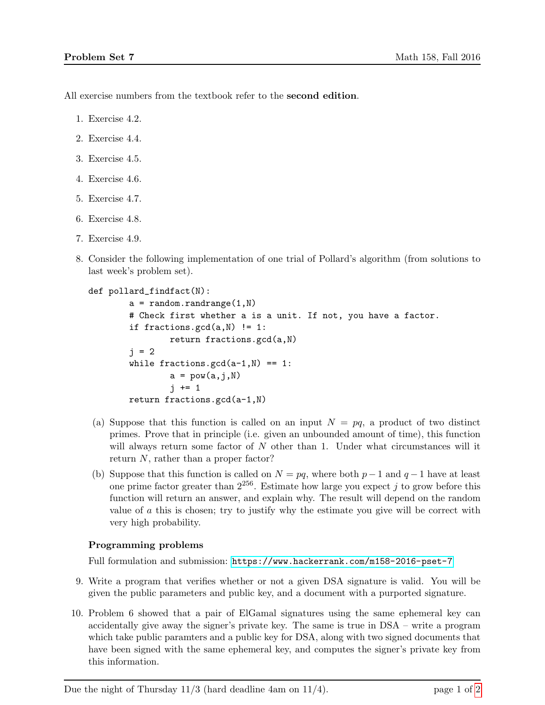All exercise numbers from the textbook refer to the **second edition**.

- 1. Exercise 4.2.
- 2. Exercise 4.4.
- 3. Exercise 4.5.
- 4. Exercise 4.6.
- 5. Exercise 4.7.
- 6. Exercise 4.8.
- 7. Exercise 4.9.
- 8. Consider the following implementation of one trial of Pollard's algorithm (from solutions to last week's problem set).

```
def pollard_findfact(N):
```

```
a = random.randomange(1,N)# Check first whether a is a unit. If not, you have a factor.
if fractions.gcd(a, N) != 1:
        return fractions.gcd(a,N)
i = 2while fractions.gcd(a-1,N) == 1:
        a = pow(a, j, N)i \neq 1return fractions.gcd(a-1,N)
```
- (a) Suppose that this function is called on an input  $N = pq$ , a product of two distinct primes. Prove that in principle (i.e. given an unbounded amount of time), this function will always return some factor of  $N$  other than 1. Under what circumstances will it return N, rather than a proper factor?
- (b) Suppose that this function is called on  $N = pq$ , where both  $p-1$  and  $q-1$  have at least one prime factor greater than  $2^{256}$ . Estimate how large you expect j to grow before this function will return an answer, and explain why. The result will depend on the random value of  $a$  this is chosen; try to justify why the estimate you give will be correct with very high probability.

## Programming problems

Full formulation and submission: <https://www.hackerrank.com/m158-2016-pset-7>

- 9. Write a program that verifies whether or not a given DSA signature is valid. You will be given the public parameters and public key, and a document with a purported signature.
- 10. Problem 6 showed that a pair of ElGamal signatures using the same ephemeral key can accidentally give away the signer's private key. The same is true in DSA – write a program which take public paramters and a public key for DSA, along with two signed documents that have been signed with the same ephemeral key, and computes the signer's private key from this information.